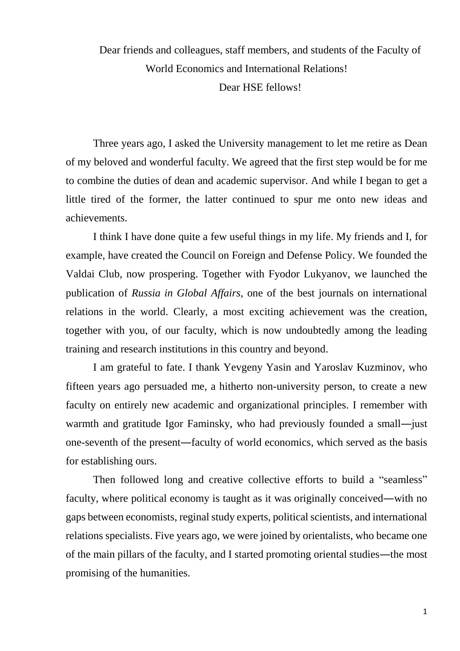Dear friends and colleagues, staff members, and students of the Faculty of World Economics and International Relations! Dear HSE fellows!

Three years ago, I asked the University management to let me retire as Dean of my beloved and wonderful faculty. We agreed that the first step would be for me to combine the duties of dean and academic supervisor. And while I began to get a little tired of the former, the latter continued to spur me onto new ideas and achievements.

I think I have done quite a few useful things in my life. My friends and I, for example, have created the Council on Foreign and Defense Policy. We founded the Valdai Club, now prospering. Together with Fyodor Lukyanov, we launched the publication of *Russia in Global Affairs*, one of the best journals on international relations in the world. Clearly, a most exciting achievement was the creation, together with you, of our faculty, which is now undoubtedly among the leading training and research institutions in this country and beyond.

I am grateful to fate. I thank Yevgeny Yasin and Yaroslav Kuzminov, who fifteen years ago persuaded me, a hitherto non-university person, to create a new faculty on entirely new academic and organizational principles. I remember with warmth and gratitude Igor Faminsky, who had previously founded a small—just one-seventh of the present―faculty of world economics, which served as the basis for establishing ours.

Then followed long and creative collective efforts to build a "seamless" faculty, where political economy is taught as it was originally conceived—with no gaps between economists, reginal study experts, political scientists, and international relations specialists. Five years ago, we were joined by orientalists, who became one of the main pillars of the faculty, and I started promoting oriental studies―the most promising of the humanities.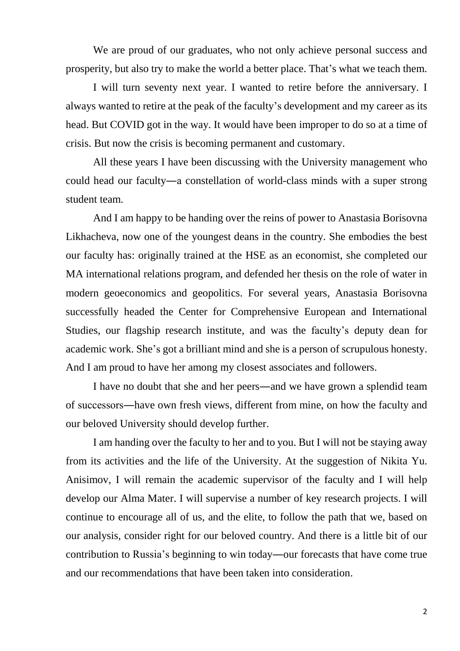We are proud of our graduates, who not only achieve personal success and prosperity, but also try to make the world a better place. That's what we teach them.

I will turn seventy next year. I wanted to retire before the anniversary. I always wanted to retire at the peak of the faculty's development and my career as its head. But COVID got in the way. It would have been improper to do so at a time of crisis. But now the crisis is becoming permanent and customary.

All these years I have been discussing with the University management who could head our faculty―a constellation of world-class minds with a super strong student team.

And I am happy to be handing over the reins of power to Anastasia Borisovna Likhacheva, now one of the youngest deans in the country. She embodies the best our faculty has: originally trained at the HSE as an economist, she completed our MA international relations program, and defended her thesis on the role of water in modern geoeconomics and geopolitics. For several years, Anastasia Borisovna successfully headed the Center for Comprehensive European and International Studies, our flagship research institute, and was the faculty's deputy dean for academic work. She's got a brilliant mind and she is a person of scrupulous honesty. And I am proud to have her among my closest associates and followers.

I have no doubt that she and her peers―and we have grown a splendid team of successors―have own fresh views, different from mine, on how the faculty and our beloved University should develop further.

I am handing over the faculty to her and to you. But I will not be staying away from its activities and the life of the University. At the suggestion of Nikita Yu. Anisimov, I will remain the academic supervisor of the faculty and I will help develop our Alma Mater. I will supervise a number of key research projects. I will continue to encourage all of us, and the elite, to follow the path that we, based on our analysis, consider right for our beloved country. And there is a little bit of our contribution to Russia's beginning to win today―our forecasts that have come true and our recommendations that have been taken into consideration.